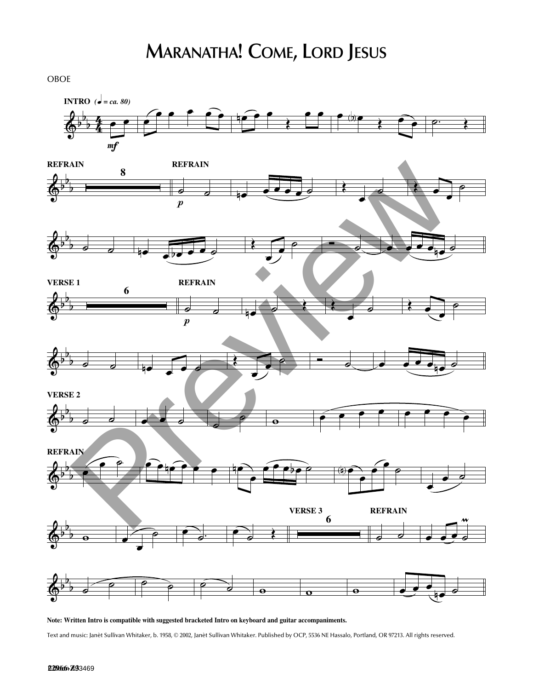OBOE



**Note: Written Intro is compatible with suggested bracketed Intro on keyboard and guitar accompaniments.**

Text and music: Janèt Sullivan Whitaker, b. 1958, © 2002, Janèt Sullivan Whitaker. Published by OCP, 5536 NE Hassalo, Portland, OR 97213. All rights reserved.